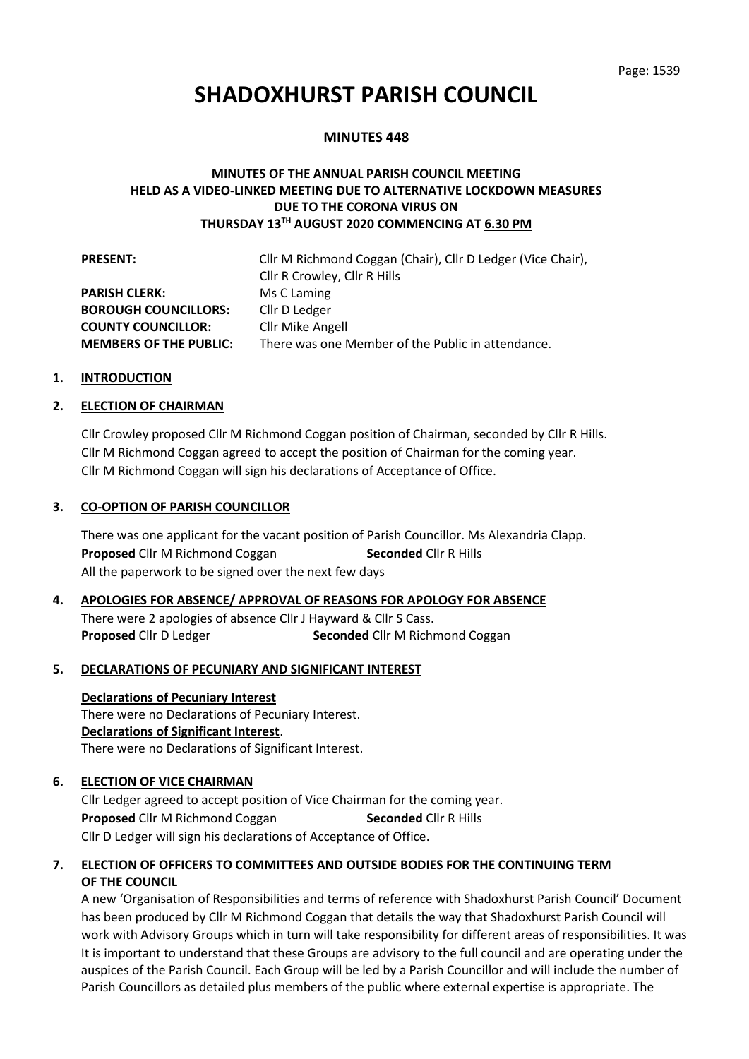# **SHADOXHURST PARISH COUNCIL**

#### **MINUTES 448**

## **MINUTES OF THE ANNUAL PARISH COUNCIL MEETING HELD AS A VIDEO-LINKED MEETING DUE TO ALTERNATIVE LOCKDOWN MEASURES DUE TO THE CORONA VIRUS ON THURSDAY 13TH AUGUST 2020 COMMENCING AT 6.30 PM**

| <b>PRESENT:</b>               | Cllr M Richmond Coggan (Chair), Cllr D Ledger (Vice Chair), |
|-------------------------------|-------------------------------------------------------------|
|                               | Cllr R Crowley, Cllr R Hills                                |
| <b>PARISH CLERK:</b>          | Ms C Laming                                                 |
| <b>BOROUGH COUNCILLORS:</b>   | Cllr D Ledger                                               |
| <b>COUNTY COUNCILLOR:</b>     | Cllr Mike Angell                                            |
| <b>MEMBERS OF THE PUBLIC:</b> | There was one Member of the Public in attendance.           |

#### **1. INTRODUCTION**

#### **2. ELECTION OF CHAIRMAN**

Cllr Crowley proposed Cllr M Richmond Coggan position of Chairman, seconded by Cllr R Hills. Cllr M Richmond Coggan agreed to accept the position of Chairman for the coming year. Cllr M Richmond Coggan will sign his declarations of Acceptance of Office.

#### **3. CO-OPTION OF PARISH COUNCILLOR**

There was one applicant for the vacant position of Parish Councillor. Ms Alexandria Clapp. **Proposed** Cllr M Richmond Coggan **Seconded** Cllr R Hills All the paperwork to be signed over the next few days

## **4. APOLOGIES FOR ABSENCE/ APPROVAL OF REASONS FOR APOLOGY FOR ABSENCE** There were 2 apologies of absence Cllr J Hayward & Cllr S Cass. **Proposed** Cllr D Ledger **Seconded** Cllr M Richmond Coggan

#### **5. DECLARATIONS OF PECUNIARY AND SIGNIFICANT INTEREST**

#### **Declarations of Pecuniary Interest**

There were no Declarations of Pecuniary Interest. **Declarations of Significant Interest**. There were no Declarations of Significant Interest.

#### **6. ELECTION OF VICE CHAIRMAN**

Cllr Ledger agreed to accept position of Vice Chairman for the coming year. **Proposed** Cllr M Richmond Coggan **Seconded** Cllr R Hills Cllr D Ledger will sign his declarations of Acceptance of Office.

## **7. ELECTION OF OFFICERS TO COMMITTEES AND OUTSIDE BODIES FOR THE CONTINUING TERM OF THE COUNCIL**

A new 'Organisation of Responsibilities and terms of reference with Shadoxhurst Parish Council' Document has been produced by Cllr M Richmond Coggan that details the way that Shadoxhurst Parish Council will work with Advisory Groups which in turn will take responsibility for different areas of responsibilities. It was It is important to understand that these Groups are advisory to the full council and are operating under the auspices of the Parish Council. Each Group will be led by a Parish Councillor and will include the number of Parish Councillors as detailed plus members of the public where external expertise is appropriate. The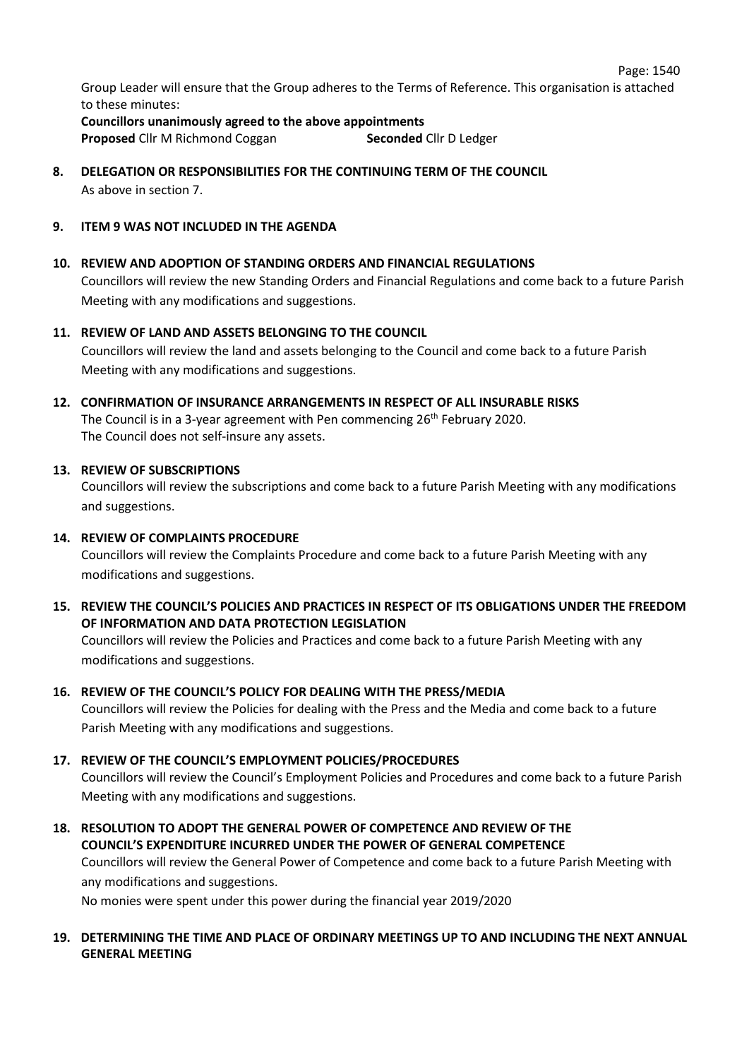Page: 1540

Group Leader will ensure that the Group adheres to the Terms of Reference. This organisation is attached to these minutes:

**Councillors unanimously agreed to the above appointments Proposed** Cllr M Richmond Coggan **Seconded** Cllr D Ledger

**8. DELEGATION OR RESPONSIBILITIES FOR THE CONTINUING TERM OF THE COUNCIL** As above in section 7.

## **9. ITEM 9 WAS NOT INCLUDED IN THE AGENDA**

## **10. REVIEW AND ADOPTION OF STANDING ORDERS AND FINANCIAL REGULATIONS**

Councillors will review the new Standing Orders and Financial Regulations and come back to a future Parish Meeting with any modifications and suggestions.

## **11. REVIEW OF LAND AND ASSETS BELONGING TO THE COUNCIL**

Councillors will review the land and assets belonging to the Council and come back to a future Parish Meeting with any modifications and suggestions.

# **12. CONFIRMATION OF INSURANCE ARRANGEMENTS IN RESPECT OF ALL INSURABLE RISKS**

The Council is in a 3-year agreement with Pen commencing 26<sup>th</sup> February 2020. The Council does not self-insure any assets.

## **13. REVIEW OF SUBSCRIPTIONS**

Councillors will review the subscriptions and come back to a future Parish Meeting with any modifications and suggestions.

## **14. REVIEW OF COMPLAINTS PROCEDURE**

Councillors will review the Complaints Procedure and come back to a future Parish Meeting with any modifications and suggestions.

**15. REVIEW THE COUNCIL'S POLICIES AND PRACTICES IN RESPECT OF ITS OBLIGATIONS UNDER THE FREEDOM OF INFORMATION AND DATA PROTECTION LEGISLATION**

Councillors will review the Policies and Practices and come back to a future Parish Meeting with any modifications and suggestions.

## **16. REVIEW OF THE COUNCIL'S POLICY FOR DEALING WITH THE PRESS/MEDIA**

Councillors will review the Policies for dealing with the Press and the Media and come back to a future Parish Meeting with any modifications and suggestions.

## **17. REVIEW OF THE COUNCIL'S EMPLOYMENT POLICIES/PROCEDURES**

Councillors will review the Council's Employment Policies and Procedures and come back to a future Parish Meeting with any modifications and suggestions.

**18. RESOLUTION TO ADOPT THE GENERAL POWER OF COMPETENCE AND REVIEW OF THE COUNCIL'S EXPENDITURE INCURRED UNDER THE POWER OF GENERAL COMPETENCE** Councillors will review the General Power of Competence and come back to a future Parish Meeting with

any modifications and suggestions.

No monies were spent under this power during the financial year 2019/2020

## **19. DETERMINING THE TIME AND PLACE OF ORDINARY MEETINGS UP TO AND INCLUDING THE NEXT ANNUAL GENERAL MEETING**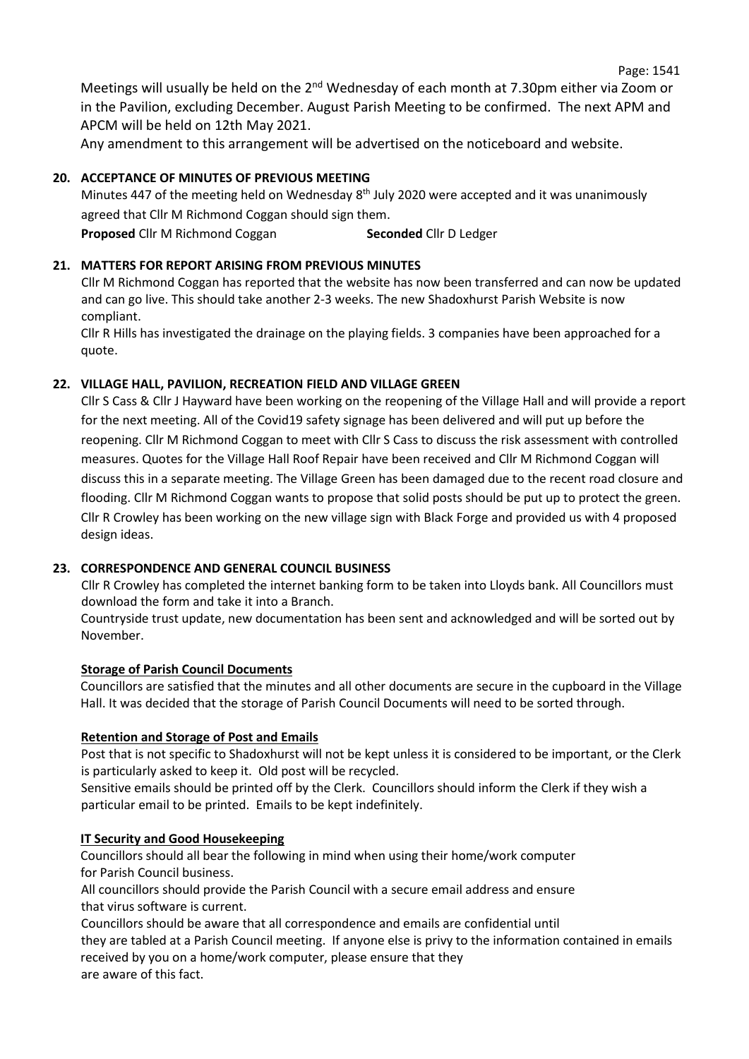Meetings will usually be held on the 2<sup>nd</sup> Wednesday of each month at 7.30pm either via Zoom or in the Pavilion, excluding December. August Parish Meeting to be confirmed. The next APM and APCM will be held on 12th May 2021.

Any amendment to this arrangement will be advertised on the noticeboard and website.

## **20. ACCEPTANCE OF MINUTES OF PREVIOUS MEETING**

Minutes 447 of the meeting held on Wednesday 8<sup>th</sup> July 2020 were accepted and it was unanimously agreed that Cllr M Richmond Coggan should sign them.

**Proposed** Cllr M Richmond Coggan **Seconded** Cllr D Ledger

#### **21. MATTERS FOR REPORT ARISING FROM PREVIOUS MINUTES**

Cllr M Richmond Coggan has reported that the website has now been transferred and can now be updated and can go live. This should take another 2-3 weeks. The new Shadoxhurst Parish Website is now compliant.

Cllr R Hills has investigated the drainage on the playing fields. 3 companies have been approached for a quote.

#### **22. VILLAGE HALL, PAVILION, RECREATION FIELD AND VILLAGE GREEN**

Cllr S Cass & Cllr J Hayward have been working on the reopening of the Village Hall and will provide a report for the next meeting. All of the Covid19 safety signage has been delivered and will put up before the reopening. Cllr M Richmond Coggan to meet with Cllr S Cass to discuss the risk assessment with controlled measures. Quotes for the Village Hall Roof Repair have been received and Cllr M Richmond Coggan will discuss this in a separate meeting. The Village Green has been damaged due to the recent road closure and flooding. Cllr M Richmond Coggan wants to propose that solid posts should be put up to protect the green. Cllr R Crowley has been working on the new village sign with Black Forge and provided us with 4 proposed design ideas.

#### **23. CORRESPONDENCE AND GENERAL COUNCIL BUSINESS**

Cllr R Crowley has completed the internet banking form to be taken into Lloyds bank. All Councillors must download the form and take it into a Branch.

Countryside trust update, new documentation has been sent and acknowledged and will be sorted out by November.

#### **Storage of Parish Council Documents**

Councillors are satisfied that the minutes and all other documents are secure in the cupboard in the Village Hall. It was decided that the storage of Parish Council Documents will need to be sorted through.

#### **Retention and Storage of Post and Emails**

Post that is not specific to Shadoxhurst will not be kept unless it is considered to be important, or the Clerk is particularly asked to keep it. Old post will be recycled.

Sensitive emails should be printed off by the Clerk. Councillors should inform the Clerk if they wish a particular email to be printed. Emails to be kept indefinitely.

#### **IT Security and Good Housekeeping**

Councillors should all bear the following in mind when using their home/work computer for Parish Council business.

All councillors should provide the Parish Council with a secure email address and ensure that virus software is current.

Councillors should be aware that all correspondence and emails are confidential until they are tabled at a Parish Council meeting. If anyone else is privy to the information contained in emails received by you on a home/work computer, please ensure that they are aware of this fact.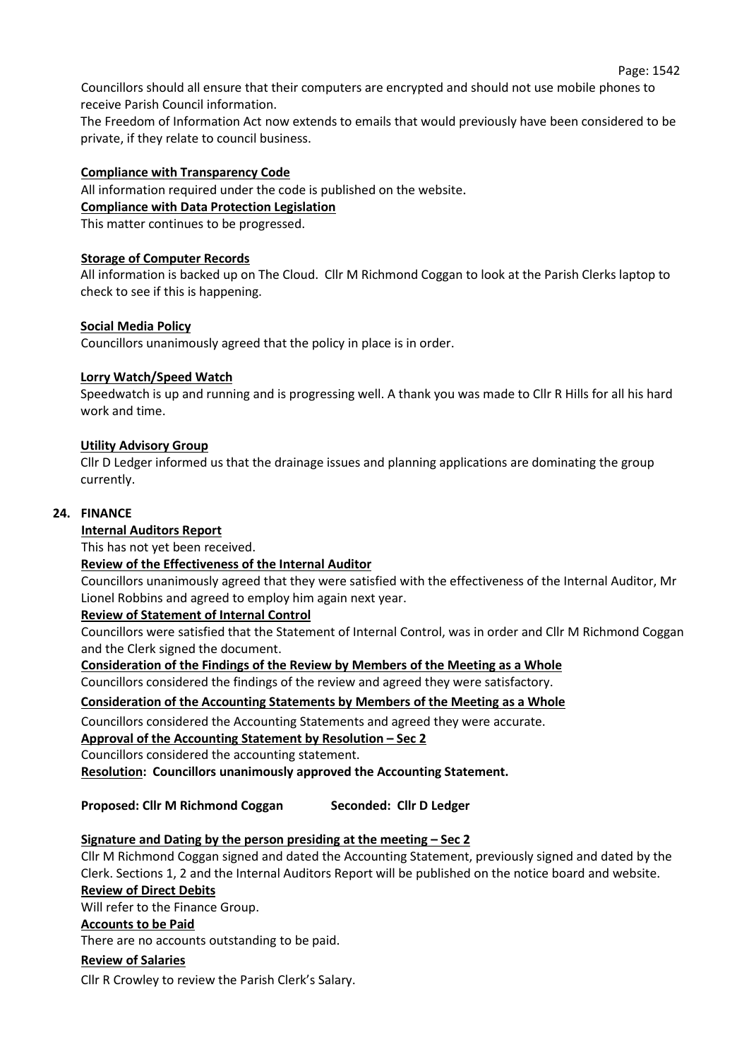Councillors should all ensure that their computers are encrypted and should not use mobile phones to receive Parish Council information.

The Freedom of Information Act now extends to emails that would previously have been considered to be private, if they relate to council business.

#### **Compliance with Transparency Code**

All information required under the code is published on the website. **Compliance with Data Protection Legislation**

This matter continues to be progressed.

#### **Storage of Computer Records**

All information is backed up on The Cloud. Cllr M Richmond Coggan to look at the Parish Clerks laptop to check to see if this is happening.

#### **Social Media Policy**

Councillors unanimously agreed that the policy in place is in order.

#### **Lorry Watch/Speed Watch**

Speedwatch is up and running and is progressing well. A thank you was made to Cllr R Hills for all his hard work and time.

#### **Utility Advisory Group**

Cllr D Ledger informed us that the drainage issues and planning applications are dominating the group currently.

#### **24. FINANCE**

## **Internal Auditors Report**

This has not yet been received.

#### **Review of the Effectiveness of the Internal Auditor**

Councillors unanimously agreed that they were satisfied with the effectiveness of the Internal Auditor, Mr Lionel Robbins and agreed to employ him again next year.

#### **Review of Statement of Internal Control**

Councillors were satisfied that the Statement of Internal Control, was in order and Cllr M Richmond Coggan and the Clerk signed the document.

**Consideration of the Findings of the Review by Members of the Meeting as a Whole**

Councillors considered the findings of the review and agreed they were satisfactory.

#### **Consideration of the Accounting Statements by Members of the Meeting as a Whole**

Councillors considered the Accounting Statements and agreed they were accurate.

#### **Approval of the Accounting Statement by Resolution – Sec 2**

Councillors considered the accounting statement.

**Resolution: Councillors unanimously approved the Accounting Statement.**

## **Proposed: Cllr M Richmond Coggan Seconded: Cllr D Ledger**

## **Signature and Dating by the person presiding at the meeting – Sec 2**

Cllr M Richmond Coggan signed and dated the Accounting Statement, previously signed and dated by the Clerk. Sections 1, 2 and the Internal Auditors Report will be published on the notice board and website.

# **Review of Direct Debits**

Will refer to the Finance Group.

#### **Accounts to be Paid**

There are no accounts outstanding to be paid.

#### **Review of Salaries**

Cllr R Crowley to review the Parish Clerk's Salary.